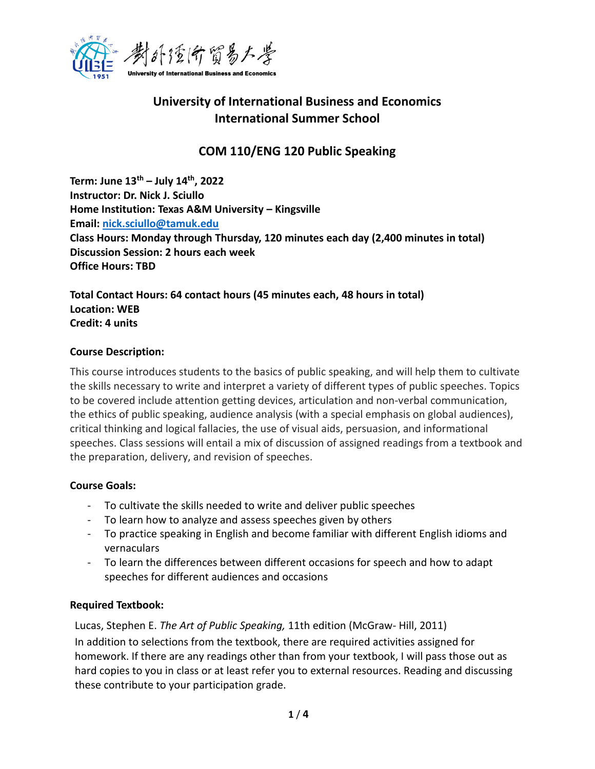

# **University of International Business and Economics International Summer School**

# **COM 110/ENG 120 Public Speaking**

**Term: June 13th – July 14th, 2022 Instructor: Dr. Nick J. Sciullo Home Institution: Texas A&M University – Kingsville Email: [nick.sciullo@tamuk.edu](mailto:nick.sciullo@tamuk.edu) Class Hours: Monday through Thursday, 120 minutes each day (2,400 minutes in total) Discussion Session: 2 hours each week Office Hours: TBD**

**Total Contact Hours: 64 contact hours (45 minutes each, 48 hours in total) Location: WEB Credit: 4 units**

## **Course Description:**

This course introduces students to the basics of public speaking, and will help them to cultivate the skills necessary to write and interpret a variety of different types of public speeches. Topics to be covered include attention getting devices, articulation and non-verbal communication, the ethics of public speaking, audience analysis (with a special emphasis on global audiences), critical thinking and logical fallacies, the use of visual aids, persuasion, and informational speeches. Class sessions will entail a mix of discussion of assigned readings from a textbook and the preparation, delivery, and revision of speeches.

# **Course Goals:**

- To cultivate the skills needed to write and deliver public speeches
- To learn how to analyze and assess speeches given by others
- To practice speaking in English and become familiar with different English idioms and vernaculars
- To learn the differences between different occasions for speech and how to adapt speeches for different audiences and occasions

# **Required Textbook:**

Lucas, Stephen E. *The Art of Public Speaking,* 11th edition (McGraw- Hill, 2011) In addition to selections from the textbook, there are required activities assigned for homework. If there are any readings other than from your textbook, I will pass those out as hard copies to you in class or at least refer you to external resources. Reading and discussing these contribute to your participation grade.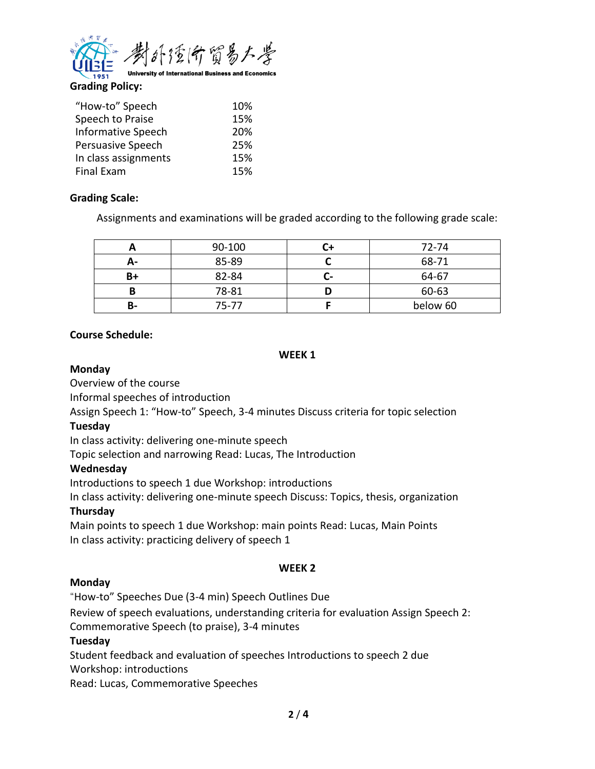

**Grading Policy:**

| "How-to" Speech           | 10% |
|---------------------------|-----|
| Speech to Praise          | 15% |
| <b>Informative Speech</b> | 20% |
| Persuasive Speech         | 25% |
| In class assignments      | 15% |
| Final Exam                | 15% |

## **Grading Scale:**

Assignments and examinations will be graded according to the following grade scale:

|    | 90-100 |    | 72-74    |
|----|--------|----|----------|
| А- | 85-89  |    | 68-71    |
| B+ | 82-84  | л. | 64-67    |
|    | 78-81  |    | 60-63    |
| В- | 75-77  |    | below 60 |

## **Course Schedule:**

#### **WEEK 1**

## **Monday**

Overview of the course

Informal speeches of introduction

Assign Speech 1: "How-to" Speech, 3-4 minutes Discuss criteria for topic selection

## **Tuesday**

In class activity: delivering one-minute speech

Topic selection and narrowing Read: Lucas, The Introduction

## **Wednesday**

Introductions to speech 1 due Workshop: introductions

In class activity: delivering one-minute speech Discuss: Topics, thesis, organization

## **Thursday**

Main points to speech 1 due Workshop: main points Read: Lucas, Main Points In class activity: practicing delivery of speech 1

## **WEEK 2**

## **Monday**

"How-to" Speeches Due (3-4 min) Speech Outlines Due

Review of speech evaluations, understanding criteria for evaluation Assign Speech 2:

Commemorative Speech (to praise), 3-4 minutes

## **Tuesday**

Student feedback and evaluation of speeches Introductions to speech 2 due Workshop: introductions

Read: Lucas, Commemorative Speeches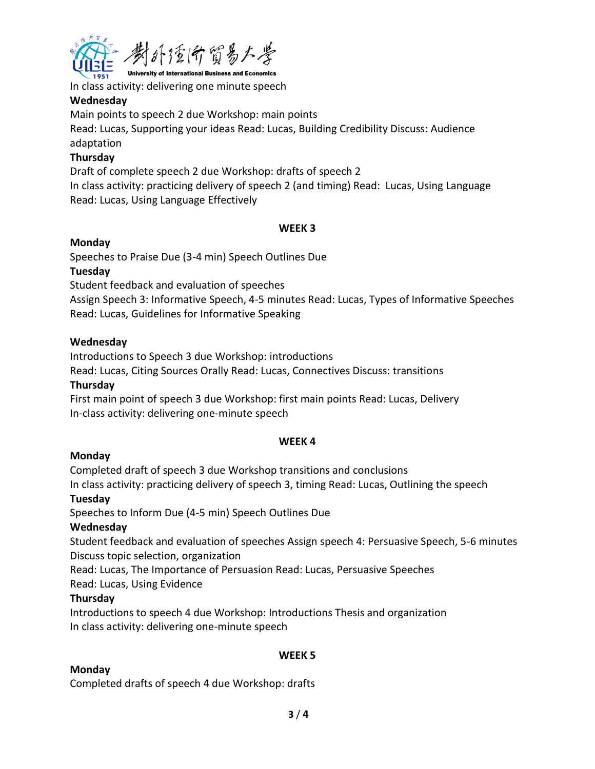

# In class activity: delivering one minute speech

## **Wednesday**

Main points to speech 2 due Workshop: main points Read: Lucas, Supporting your ideas Read: Lucas, Building Credibility Discuss: Audience adaptation

# **Thursday**

Draft of complete speech 2 due Workshop: drafts of speech 2 In class activity: practicing delivery of speech 2 (and timing) Read: Lucas, Using Language Read: Lucas, Using Language Effectively

## **WEEK 3**

## **Monday**

Speeches to Praise Due (3-4 min) Speech Outlines Due

## **Tuesday**

Student feedback and evaluation of speeches

Assign Speech 3: Informative Speech, 4-5 minutes Read: Lucas, Types of Informative Speeches Read: Lucas, Guidelines for Informative Speaking

## **Wednesday**

Introductions to Speech 3 due Workshop: introductions

Read: Lucas, Citing Sources Orally Read: Lucas, Connectives Discuss: transitions

## **Thursday**

First main point of speech 3 due Workshop: first main points Read: Lucas, Delivery In-class activity: delivering one-minute speech

## **WEEK 4**

# **Monday**

Completed draft of speech 3 due Workshop transitions and conclusions In class activity: practicing delivery of speech 3, timing Read: Lucas, Outlining the speech

# **Tuesday**

Speeches to Inform Due (4-5 min) Speech Outlines Due

# **Wednesday**

Student feedback and evaluation of speeches Assign speech 4: Persuasive Speech, 5-6 minutes Discuss topic selection, organization

Read: Lucas, The Importance of Persuasion Read: Lucas, Persuasive Speeches

Read: Lucas, Using Evidence

# **Thursday**

Introductions to speech 4 due Workshop: Introductions Thesis and organization In class activity: delivering one-minute speech

## **WEEK 5**

# **Monday**

Completed drafts of speech 4 due Workshop: drafts